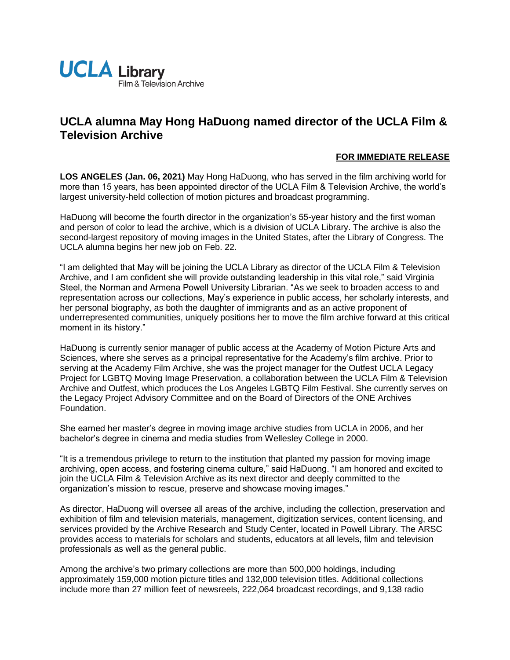

## **UCLA alumna May Hong HaDuong named director of the UCLA Film & Television Archive**

## **FOR IMMEDIATE RELEASE**

**LOS ANGELES (Jan. 06, 2021)** May Hong HaDuong, who has served in the film archiving world for more than 15 years, has been appointed director of the UCLA Film & Television Archive, the world's largest university-held collection of motion pictures and broadcast programming.

HaDuong will become the fourth director in the organization's 55-year history and the first woman and person of color to lead the archive, which is a division of UCLA Library. The archive is also the second-largest repository of moving images in the United States, after the Library of Congress. The UCLA alumna begins her new job on Feb. 22.

"I am delighted that May will be joining the UCLA Library as director of the UCLA Film & Television Archive, and I am confident she will provide outstanding leadership in this vital role," said Virginia Steel, the Norman and Armena Powell University Librarian. "As we seek to broaden access to and representation across our collections, May's experience in public access, her scholarly interests, and her personal biography, as both the daughter of immigrants and as an active proponent of underrepresented communities, uniquely positions her to move the film archive forward at this critical moment in its history."

HaDuong is currently senior manager of public access at the Academy of Motion Picture Arts and Sciences, where she serves as a principal representative for the Academy's film archive. Prior to serving at the Academy Film Archive, she was the project manager for the Outfest UCLA Legacy Project for LGBTQ Moving Image Preservation, a collaboration between the UCLA Film & Television Archive and Outfest, which produces the Los Angeles LGBTQ Film Festival. She currently serves on the Legacy Project Advisory Committee and on the Board of Directors of the ONE Archives Foundation.

She earned her master's degree in moving image archive studies from UCLA in 2006, and her bachelor's degree in cinema and media studies from Wellesley College in 2000.

"It is a tremendous privilege to return to the institution that planted my passion for moving image archiving, open access, and fostering cinema culture," said HaDuong. "I am honored and excited to join the UCLA Film & Television Archive as its next director and deeply committed to the organization's mission to rescue, preserve and showcase moving images."

As director, HaDuong will oversee all areas of the archive, including the collection, preservation and exhibition of film and television materials, management, digitization services, content licensing, and services provided by the Archive Research and Study Center, located in Powell Library. The ARSC provides access to materials for scholars and students, educators at all levels, film and television professionals as well as the general public.

Among the archive's two primary collections are more than 500,000 holdings, including approximately 159,000 motion picture titles and 132,000 television titles. Additional collections include more than 27 million feet of newsreels, 222,064 broadcast recordings, and 9,138 radio